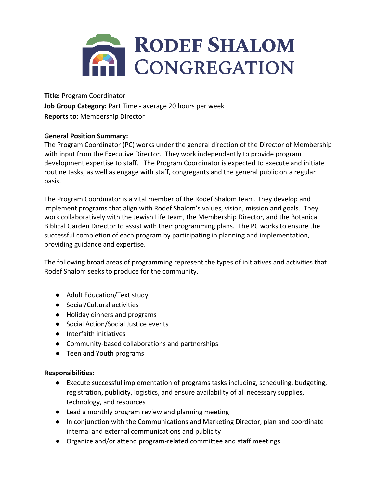

**Title:** Program Coordinator **Job Group Category:** Part Time - average 20 hours per week **Reports to**: Membership Director

# **General Position Summary:**

The Program Coordinator (PC) works under the general direction of the Director of Membership with input from the Executive Director. They work independently to provide program development expertise to staff. The Program Coordinator is expected to execute and initiate routine tasks, as well as engage with staff, congregants and the general public on a regular basis.

The Program Coordinator is a vital member of the Rodef Shalom team. They develop and implement programs that align with Rodef Shalom's values, vision, mission and goals. They work collaboratively with the Jewish Life team, the Membership Director, and the Botanical Biblical Garden Director to assist with their programming plans. The PC works to ensure the successful completion of each program by participating in planning and implementation, providing guidance and expertise.

The following broad areas of programming represent the types of initiatives and activities that Rodef Shalom seeks to produce for the community.

- Adult Education/Text study
- Social/Cultural activities
- Holiday dinners and programs
- Social Action/Social Justice events
- Interfaith initiatives
- Community-based collaborations and partnerships
- Teen and Youth programs

# **Responsibilities:**

- Execute successful implementation of programs tasks including, scheduling, budgeting, registration, publicity, logistics, and ensure availability of all necessary supplies, technology, and resources
- Lead a monthly program review and planning meeting
- In conjunction with the Communications and Marketing Director, plan and coordinate internal and external communications and publicity
- Organize and/or attend program-related committee and staff meetings